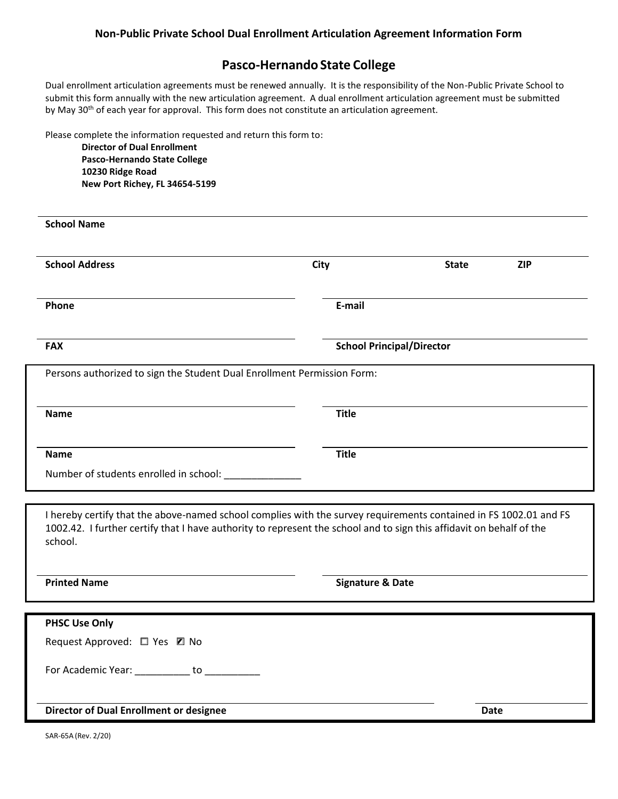## **Pasco-HernandoState College**

Dual enrollment articulation agreements must be renewed annually. It is the responsibility of the Non-Public Private School to submit this form annually with the new articulation agreement. A dual enrollment articulation agreement must be submitted by May 30<sup>th</sup> of each year for approval. This form does not constitute an articulation agreement.

Please complete the information requested and return this form to:

**Director of Dual Enrollment Pasco-Hernando State College 10230 Ridge Road New Port Richey, FL 34654-5199**

| <b>School Name</b>                                                      |              |                                  |            |
|-------------------------------------------------------------------------|--------------|----------------------------------|------------|
| <b>School Address</b>                                                   | <b>City</b>  | <b>State</b>                     | <b>ZIP</b> |
| Phone                                                                   | E-mail       |                                  |            |
| <b>FAX</b>                                                              |              | <b>School Principal/Director</b> |            |
|                                                                         |              |                                  |            |
| Persons authorized to sign the Student Dual Enrollment Permission Form: |              |                                  |            |
| <b>Name</b>                                                             | <b>Title</b> |                                  |            |
| <b>Name</b>                                                             | <b>Title</b> |                                  |            |

1002.42. I further certify that I have authority to represent the school and to sign this affidavit on behalf of the school.

**Printed Name Signature & Date** 

| <b>PHSC Use Only</b>                           |             |
|------------------------------------------------|-------------|
| Request Approved: □ Yes □ No                   |             |
| For Academic Year: __________ to ________      |             |
| <b>Director of Dual Enrollment or designee</b> | <b>Date</b> |

SAR-65A (Rev. 2/20)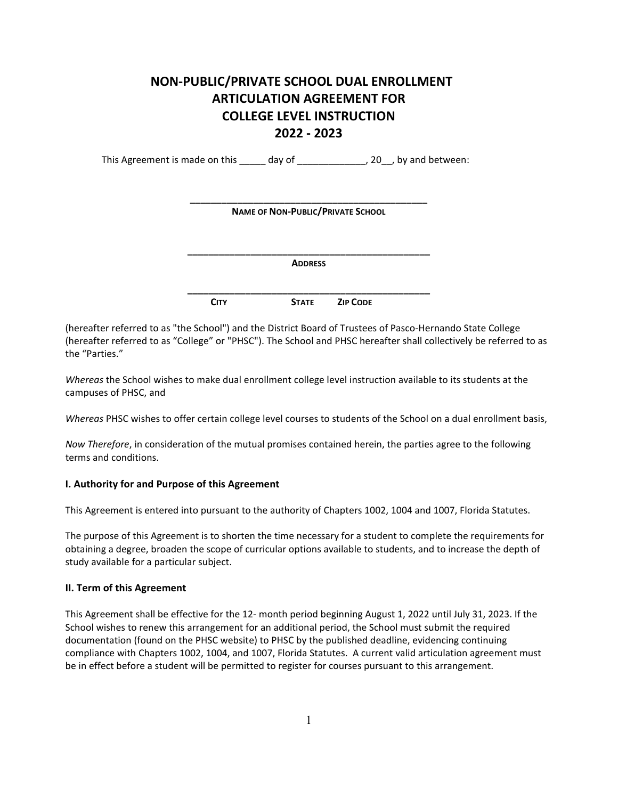# **NON-PUBLIC/PRIVATE SCHOOL DUAL ENROLLMENT ARTICULATION AGREEMENT FOR COLLEGE LEVEL INSTRUCTION 2022 - 2023**

This Agreement is made on this \_\_\_\_\_ day of \_\_\_\_\_\_\_\_\_\_\_\_, 20\_, by and between:

| <b>NAME OF NON-PUBLIC/PRIVATE SCHOOL</b> |                |                 |  |  |
|------------------------------------------|----------------|-----------------|--|--|
|                                          | <b>ADDRESS</b> |                 |  |  |
| <b>CITY</b>                              | <b>STATE</b>   | <b>ZIP CODE</b> |  |  |

(hereafter referred to as "the School") and the District Board of Trustees of Pasco-Hernando State College (hereafter referred to as "College" or "PHSC"). The School and PHSC hereafter shall collectively be referred to as the "Parties."

*Whereas* the School wishes to make dual enrollment college level instruction available to its students at the campuses of PHSC, and

*Whereas* PHSC wishes to offer certain college level courses to students of the School on a dual enrollment basis,

*Now Therefore*, in consideration of the mutual promises contained herein, the parties agree to the following terms and conditions.

## **I. Authority for and Purpose of this Agreement**

This Agreement is entered into pursuant to the authority of Chapters 1002, 1004 and 1007, Florida Statutes.

The purpose of this Agreement is to shorten the time necessary for a student to complete the requirements for obtaining a degree, broaden the scope of curricular options available to students, and to increase the depth of study available for a particular subject.

## **II. Term of this Agreement**

This Agreement shall be effective for the 12- month period beginning August 1, 2022 until July 31, 2023. If the School wishes to renew this arrangement for an additional period, the School must submit the required documentation (found on the PHSC website) to PHSC by the published deadline, evidencing continuing compliance with Chapters 1002, 1004, and 1007, Florida Statutes. A current valid articulation agreement must be in effect before a student will be permitted to register for courses pursuant to this arrangement.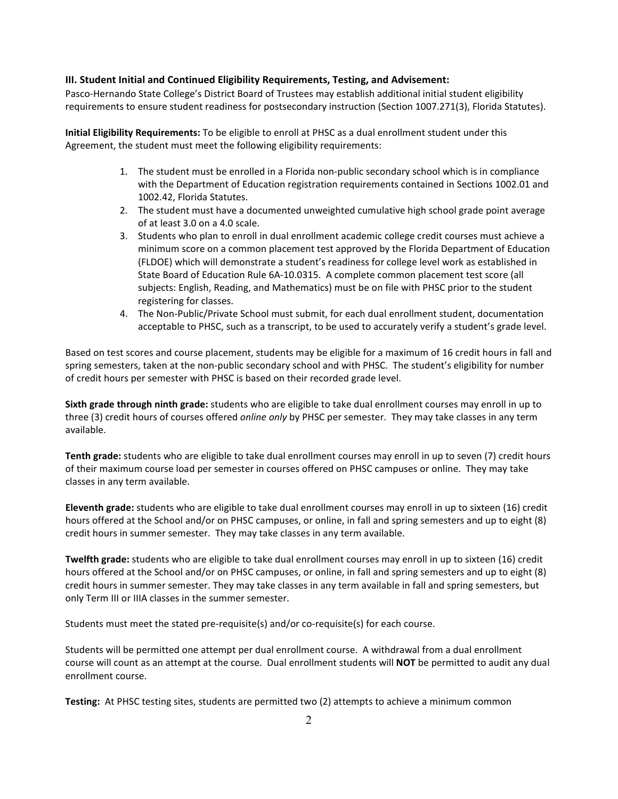## **III. Student Initial and Continued Eligibility Requirements, Testing, and Advisement:**

Pasco-Hernando State College's District Board of Trustees may establish additional initial student eligibility requirements to ensure student readiness for postsecondary instruction (Section 1007.271(3), Florida Statutes).

**Initial Eligibility Requirements:** To be eligible to enroll at PHSC as a dual enrollment student under this Agreement, the student must meet the following eligibility requirements:

- 1. The student must be enrolled in a Florida non-public secondary school which is in compliance with the Department of Education registration requirements contained in Sections 1002.01 and 1002.42, Florida Statutes.
- 2. The student must have a documented unweighted cumulative high school grade point average of at least 3.0 on a 4.0 scale.
- 3. Students who plan to enroll in dual enrollment academic college credit courses must achieve a minimum score on a common placement test approved by the Florida Department of Education (FLDOE) which will demonstrate a student's readiness for college level work as established in State Board of Education Rule 6A-10.0315. A complete common placement test score (all subjects: English, Reading, and Mathematics) must be on file with PHSC prior to the student registering for classes.
- 4. The Non-Public/Private School must submit, for each dual enrollment student, documentation acceptable to PHSC, such as a transcript, to be used to accurately verify a student's grade level.

Based on test scores and course placement, students may be eligible for a maximum of 16 credit hours in fall and spring semesters, taken at the non-public secondary school and with PHSC. The student's eligibility for number of credit hours per semester with PHSC is based on their recorded grade level.

**Sixth grade through ninth grade:** students who are eligible to take dual enrollment courses may enroll in up to three (3) credit hours of courses offered *online only* by PHSC per semester. They may take classes in any term available.

**Tenth grade:** students who are eligible to take dual enrollment courses may enroll in up to seven (7) credit hours of their maximum course load per semester in courses offered on PHSC campuses or online. They may take classes in any term available.

**Eleventh grade:** students who are eligible to take dual enrollment courses may enroll in up to sixteen (16) credit hours offered at the School and/or on PHSC campuses, or online, in fall and spring semesters and up to eight (8) credit hours in summer semester. They may take classes in any term available.

**Twelfth grade:** students who are eligible to take dual enrollment courses may enroll in up to sixteen (16) credit hours offered at the School and/or on PHSC campuses, or online, in fall and spring semesters and up to eight (8) credit hours in summer semester. They may take classes in any term available in fall and spring semesters, but only Term III or IIIA classes in the summer semester.

Students must meet the stated pre-requisite(s) and/or co-requisite(s) for each course.

Students will be permitted one attempt per dual enrollment course. A withdrawal from a dual enrollment course will count as an attempt at the course. Dual enrollment students will **NOT** be permitted to audit any dual enrollment course.

**Testing:** At PHSC testing sites, students are permitted two (2) attempts to achieve a minimum common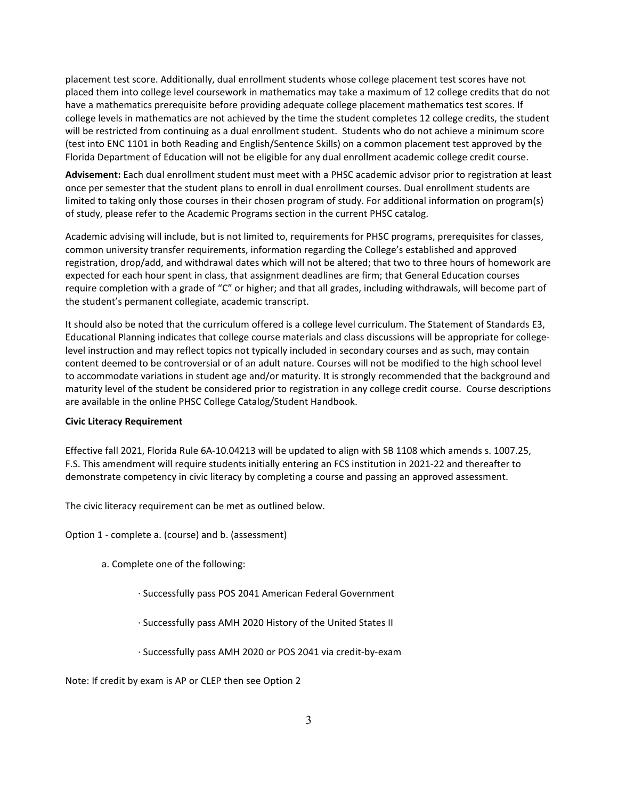placement test score. Additionally, dual enrollment students whose college placement test scores have not placed them into college level coursework in mathematics may take a maximum of 12 college credits that do not have a mathematics prerequisite before providing adequate college placement mathematics test scores. If college levels in mathematics are not achieved by the time the student completes 12 college credits, the student will be restricted from continuing as a dual enrollment student. Students who do not achieve a minimum score (test into ENC 1101 in both Reading and English/Sentence Skills) on a common placement test approved by the Florida Department of Education will not be eligible for any dual enrollment academic college credit course.

**Advisement:** Each dual enrollment student must meet with a PHSC academic advisor prior to registration at least once per semester that the student plans to enroll in dual enrollment courses. Dual enrollment students are limited to taking only those courses in their chosen program of study. For additional information on program(s) of study, please refer to the Academic Programs section in the current PHSC catalog.

Academic advising will include, but is not limited to, requirements for PHSC programs, prerequisites for classes, common university transfer requirements, information regarding the College's established and approved registration, drop/add, and withdrawal dates which will not be altered; that two to three hours of homework are expected for each hour spent in class, that assignment deadlines are firm; that General Education courses require completion with a grade of "C" or higher; and that all grades, including withdrawals, will become part of the student's permanent collegiate, academic transcript.

It should also be noted that the curriculum offered is a college level curriculum. The Statement of Standards E3, Educational Planning indicates that college course materials and class discussions will be appropriate for collegelevel instruction and may reflect topics not typically included in secondary courses and as such, may contain content deemed to be controversial or of an adult nature. Courses will not be modified to the high school level to accommodate variations in student age and/or maturity. It is strongly recommended that the background and maturity level of the student be considered prior to registration in any college credit course. Course descriptions are available in the online PHSC College Catalog/Student Handbook.

#### **Civic Literacy Requirement**

Effective fall 2021, Florida Rule 6A-10.04213 will be updated to align with SB 1108 which amends s. 1007.25, F.S. This amendment will require students initially entering an FCS institution in 2021-22 and thereafter to demonstrate competency in civic literacy by completing a course and passing an approved assessment.

The civic literacy requirement can be met as outlined below.

Option 1 - complete a. (course) and b. (assessment)

- a. Complete one of the following:
	- · Successfully pass POS 2041 American Federal Government
	- · Successfully pass AMH 2020 History of the United States II
	- · Successfully pass AMH 2020 or POS 2041 via credit-by-exam

Note: If credit by exam is AP or CLEP then see Option 2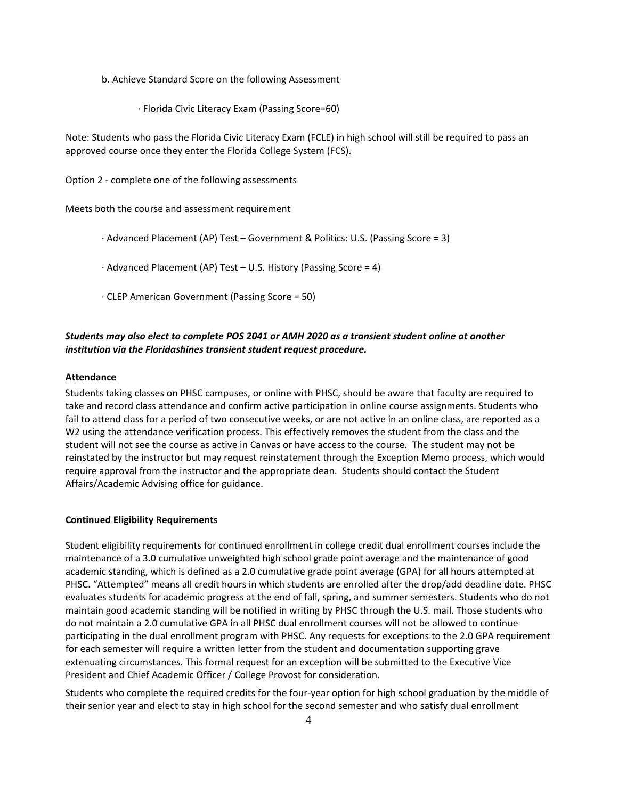b. Achieve Standard Score on the following Assessment

· Florida Civic Literacy Exam (Passing Score=60)

Note: Students who pass the Florida Civic Literacy Exam (FCLE) in high school will still be required to pass an approved course once they enter the Florida College System (FCS).

Option 2 - complete one of the following assessments

Meets both the course and assessment requirement

· Advanced Placement (AP) Test – Government & Politics: U.S. (Passing Score = 3)

· Advanced Placement (AP) Test – U.S. History (Passing Score = 4)

· CLEP American Government (Passing Score = 50)

## *Students may also elect to complete POS 2041 or AMH 2020 as a transient student online at another institution via the Floridashines transient student request procedure.*

#### **Attendance**

Students taking classes on PHSC campuses, or online with PHSC, should be aware that faculty are required to take and record class attendance and confirm active participation in online course assignments. Students who fail to attend class for a period of two consecutive weeks, or are not active in an online class, are reported as a W2 using the attendance verification process. This effectively removes the student from the class and the student will not see the course as active in Canvas or have access to the course. The student may not be reinstated by the instructor but may request reinstatement through the Exception Memo process, which would require approval from the instructor and the appropriate dean. Students should contact the Student Affairs/Academic Advising office for guidance.

## **Continued Eligibility Requirements**

Student eligibility requirements for continued enrollment in college credit dual enrollment courses include the maintenance of a 3.0 cumulative unweighted high school grade point average and the maintenance of good academic standing, which is defined as a 2.0 cumulative grade point average (GPA) for all hours attempted at PHSC. "Attempted" means all credit hours in which students are enrolled after the drop/add deadline date. PHSC evaluates students for academic progress at the end of fall, spring, and summer semesters. Students who do not maintain good academic standing will be notified in writing by PHSC through the U.S. mail. Those students who do not maintain a 2.0 cumulative GPA in all PHSC dual enrollment courses will not be allowed to continue participating in the dual enrollment program with PHSC. Any requests for exceptions to the 2.0 GPA requirement for each semester will require a written letter from the student and documentation supporting grave extenuating circumstances. This formal request for an exception will be submitted to the Executive Vice President and Chief Academic Officer / College Provost for consideration.

Students who complete the required credits for the four-year option for high school graduation by the middle of their senior year and elect to stay in high school for the second semester and who satisfy dual enrollment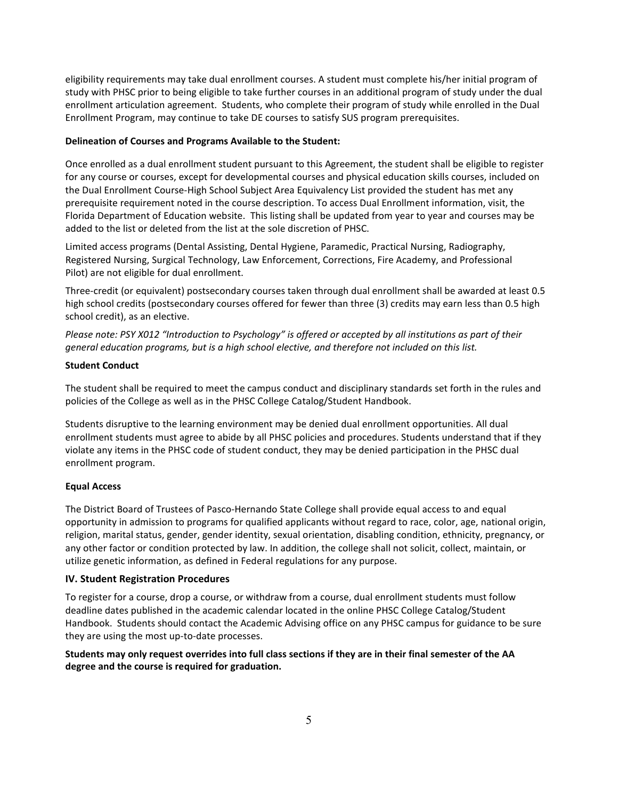eligibility requirements may take dual enrollment courses. A student must complete his/her initial program of study with PHSC prior to being eligible to take further courses in an additional program of study under the dual enrollment articulation agreement. Students, who complete their program of study while enrolled in the Dual Enrollment Program, may continue to take DE courses to satisfy SUS program prerequisites.

#### **Delineation of Courses and Programs Available to the Student:**

Once enrolled as a dual enrollment student pursuant to this Agreement, the student shall be eligible to register for any course or courses, except for developmental courses and physical education skills courses, included on the Dual Enrollment Course-High School Subject Area Equivalency List provided the student has met any prerequisite requirement noted in the course description. To access Dual Enrollment information, visit, the Florida Department of Education website. This listing shall be updated from year to year and courses may be added to the list or deleted from the list at the sole discretion of PHSC.

Limited access programs (Dental Assisting, Dental Hygiene, Paramedic, Practical Nursing, Radiography, Registered Nursing, Surgical Technology, Law Enforcement, Corrections, Fire Academy, and Professional Pilot) are not eligible for dual enrollment.

Three-credit (or equivalent) postsecondary courses taken through dual enrollment shall be awarded at least 0.5 high school credits (postsecondary courses offered for fewer than three (3) credits may earn less than 0.5 high school credit), as an elective.

*Please note: PSY X012 "Introduction to Psychology" is offered or accepted by all institutions as part of their general education programs, but is a high school elective, and therefore not included on this list.*

#### **Student Conduct**

The student shall be required to meet the campus conduct and disciplinary standards set forth in the rules and policies of the College as well as in the PHSC College Catalog/Student Handbook.

Students disruptive to the learning environment may be denied dual enrollment opportunities. All dual enrollment students must agree to abide by all PHSC policies and procedures. Students understand that if they violate any items in the PHSC code of student conduct, they may be denied participation in the PHSC dual enrollment program.

## **Equal Access**

The District Board of Trustees of Pasco-Hernando State College shall provide equal access to and equal opportunity in admission to programs for qualified applicants without regard to race, color, age, national origin, religion, marital status, gender, gender identity, sexual orientation, disabling condition, ethnicity, pregnancy, or any other factor or condition protected by law. In addition, the college shall not solicit, collect, maintain, or utilize genetic information, as defined in Federal regulations for any purpose.

## **IV. Student Registration Procedures**

To register for a course, drop a course, or withdraw from a course, dual enrollment students must follow deadline dates published in the academic calendar located in the online PHSC College Catalog/Student Handbook. Students should contact the Academic Advising office on any PHSC campus for guidance to be sure they are using the most up-to-date processes.

## **Students may only request overrides into full class sections if they are in their final semester of the AA degree and the course is required for graduation.**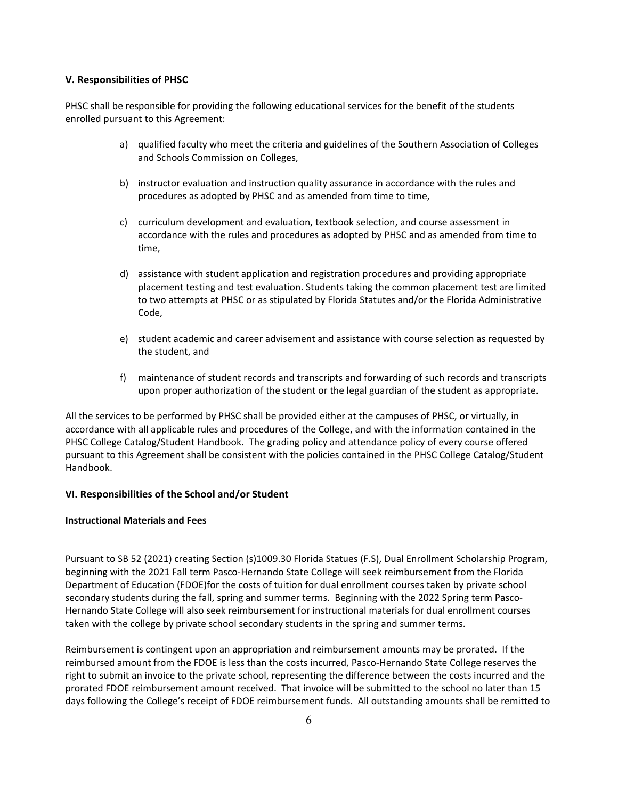#### **V. Responsibilities of PHSC**

PHSC shall be responsible for providing the following educational services for the benefit of the students enrolled pursuant to this Agreement:

- a) qualified faculty who meet the criteria and guidelines of the Southern Association of Colleges and Schools Commission on Colleges,
- b) instructor evaluation and instruction quality assurance in accordance with the rules and procedures as adopted by PHSC and as amended from time to time,
- c) curriculum development and evaluation, textbook selection, and course assessment in accordance with the rules and procedures as adopted by PHSC and as amended from time to time,
- d) assistance with student application and registration procedures and providing appropriate placement testing and test evaluation. Students taking the common placement test are limited to two attempts at PHSC or as stipulated by Florida Statutes and/or the Florida Administrative Code,
- e) student academic and career advisement and assistance with course selection as requested by the student, and
- f) maintenance of student records and transcripts and forwarding of such records and transcripts upon proper authorization of the student or the legal guardian of the student as appropriate.

All the services to be performed by PHSC shall be provided either at the campuses of PHSC, or virtually, in accordance with all applicable rules and procedures of the College, and with the information contained in the PHSC College Catalog/Student Handbook. The grading policy and attendance policy of every course offered pursuant to this Agreement shall be consistent with the policies contained in the PHSC College Catalog/Student Handbook.

## **VI. Responsibilities of the School and/or Student**

#### **Instructional Materials and Fees**

Pursuant to SB 52 (2021) creating Section (s)1009.30 Florida Statues (F.S), Dual Enrollment Scholarship Program, beginning with the 2021 Fall term Pasco-Hernando State College will seek reimbursement from the Florida Department of Education (FDOE)for the costs of tuition for dual enrollment courses taken by private school secondary students during the fall, spring and summer terms. Beginning with the 2022 Spring term Pasco-Hernando State College will also seek reimbursement for instructional materials for dual enrollment courses taken with the college by private school secondary students in the spring and summer terms.

Reimbursement is contingent upon an appropriation and reimbursement amounts may be prorated. If the reimbursed amount from the FDOE is less than the costs incurred, Pasco-Hernando State College reserves the right to submit an invoice to the private school, representing the difference between the costs incurred and the prorated FDOE reimbursement amount received. That invoice will be submitted to the school no later than 15 days following the College's receipt of FDOE reimbursement funds. All outstanding amounts shall be remitted to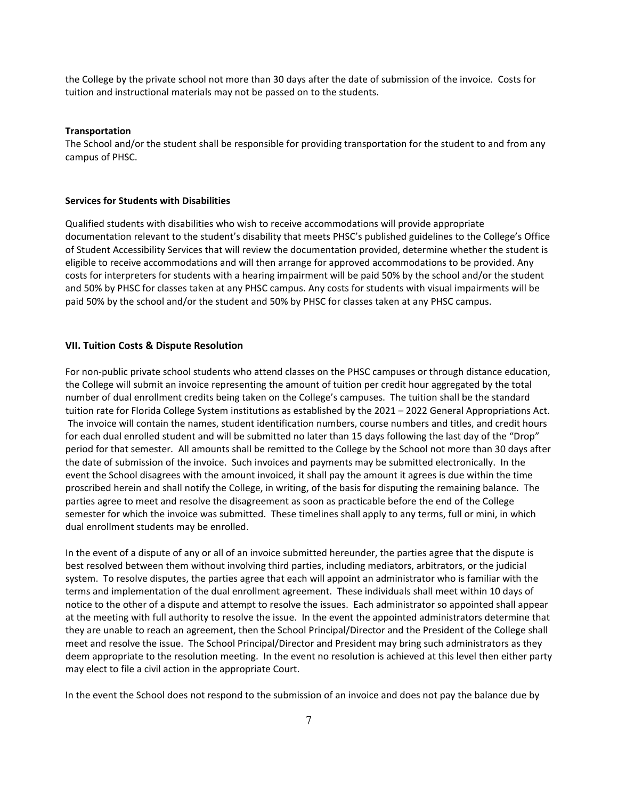the College by the private school not more than 30 days after the date of submission of the invoice. Costs for tuition and instructional materials may not be passed on to the students.

#### **Transportation**

The School and/or the student shall be responsible for providing transportation for the student to and from any campus of PHSC.

#### **Services for Students with Disabilities**

Qualified students with disabilities who wish to receive accommodations will provide appropriate documentation relevant to the student's disability that meets PHSC's published guidelines to the College's Office of Student Accessibility Services that will review the documentation provided, determine whether the student is eligible to receive accommodations and will then arrange for approved accommodations to be provided. Any costs for interpreters for students with a hearing impairment will be paid 50% by the school and/or the student and 50% by PHSC for classes taken at any PHSC campus. Any costs for students with visual impairments will be paid 50% by the school and/or the student and 50% by PHSC for classes taken at any PHSC campus.

#### **VII. Tuition Costs & Dispute Resolution**

For non-public private school students who attend classes on the PHSC campuses or through distance education, the College will submit an invoice representing the amount of tuition per credit hour aggregated by the total number of dual enrollment credits being taken on the College's campuses. The tuition shall be the standard tuition rate for Florida College System institutions as established by the 2021 – 2022 General Appropriations Act. The invoice will contain the names, student identification numbers, course numbers and titles, and credit hours for each dual enrolled student and will be submitted no later than 15 days following the last day of the "Drop" period for that semester. All amounts shall be remitted to the College by the School not more than 30 days after the date of submission of the invoice. Such invoices and payments may be submitted electronically. In the event the School disagrees with the amount invoiced, it shall pay the amount it agrees is due within the time proscribed herein and shall notify the College, in writing, of the basis for disputing the remaining balance. The parties agree to meet and resolve the disagreement as soon as practicable before the end of the College semester for which the invoice was submitted. These timelines shall apply to any terms, full or mini, in which dual enrollment students may be enrolled.

In the event of a dispute of any or all of an invoice submitted hereunder, the parties agree that the dispute is best resolved between them without involving third parties, including mediators, arbitrators, or the judicial system. To resolve disputes, the parties agree that each will appoint an administrator who is familiar with the terms and implementation of the dual enrollment agreement. These individuals shall meet within 10 days of notice to the other of a dispute and attempt to resolve the issues. Each administrator so appointed shall appear at the meeting with full authority to resolve the issue. In the event the appointed administrators determine that they are unable to reach an agreement, then the School Principal/Director and the President of the College shall meet and resolve the issue. The School Principal/Director and President may bring such administrators as they deem appropriate to the resolution meeting. In the event no resolution is achieved at this level then either party may elect to file a civil action in the appropriate Court.

In the event the School does not respond to the submission of an invoice and does not pay the balance due by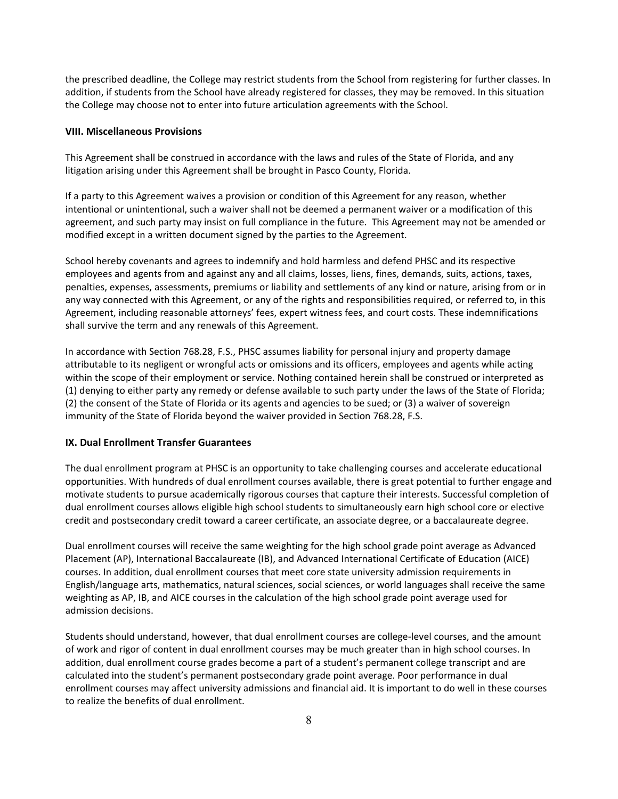the prescribed deadline, the College may restrict students from the School from registering for further classes. In addition, if students from the School have already registered for classes, they may be removed. In this situation the College may choose not to enter into future articulation agreements with the School.

#### **VIII. Miscellaneous Provisions**

This Agreement shall be construed in accordance with the laws and rules of the State of Florida, and any litigation arising under this Agreement shall be brought in Pasco County, Florida.

If a party to this Agreement waives a provision or condition of this Agreement for any reason, whether intentional or unintentional, such a waiver shall not be deemed a permanent waiver or a modification of this agreement, and such party may insist on full compliance in the future. This Agreement may not be amended or modified except in a written document signed by the parties to the Agreement.

School hereby covenants and agrees to indemnify and hold harmless and defend PHSC and its respective employees and agents from and against any and all claims, losses, liens, fines, demands, suits, actions, taxes, penalties, expenses, assessments, premiums or liability and settlements of any kind or nature, arising from or in any way connected with this Agreement, or any of the rights and responsibilities required, or referred to, in this Agreement, including reasonable attorneys' fees, expert witness fees, and court costs. These indemnifications shall survive the term and any renewals of this Agreement.

In accordance with Section 768.28, F.S., PHSC assumes liability for personal injury and property damage attributable to its negligent or wrongful acts or omissions and its officers, employees and agents while acting within the scope of their employment or service. Nothing contained herein shall be construed or interpreted as (1) denying to either party any remedy or defense available to such party under the laws of the State of Florida; (2) the consent of the State of Florida or its agents and agencies to be sued; or (3) a waiver of sovereign immunity of the State of Florida beyond the waiver provided in Section 768.28, F.S.

#### **IX. Dual Enrollment Transfer Guarantees**

The dual enrollment program at PHSC is an opportunity to take challenging courses and accelerate educational opportunities. With hundreds of dual enrollment courses available, there is great potential to further engage and motivate students to pursue academically rigorous courses that capture their interests. Successful completion of dual enrollment courses allows eligible high school students to simultaneously earn high school core or elective credit and postsecondary credit toward a career certificate, an associate degree, or a baccalaureate degree.

Dual enrollment courses will receive the same weighting for the high school grade point average as Advanced Placement (AP), International Baccalaureate (IB), and Advanced International Certificate of Education (AICE) courses. In addition, dual enrollment courses that meet core state university admission requirements in English/language arts, mathematics, natural sciences, social sciences, or world languages shall receive the same weighting as AP, IB, and AICE courses in the calculation of the high school grade point average used for admission decisions.

Students should understand, however, that dual enrollment courses are college-level courses, and the amount of work and rigor of content in dual enrollment courses may be much greater than in high school courses. In addition, dual enrollment course grades become a part of a student's permanent college transcript and are calculated into the student's permanent postsecondary grade point average. Poor performance in dual enrollment courses may affect university admissions and financial aid. It is important to do well in these courses to realize the benefits of dual enrollment.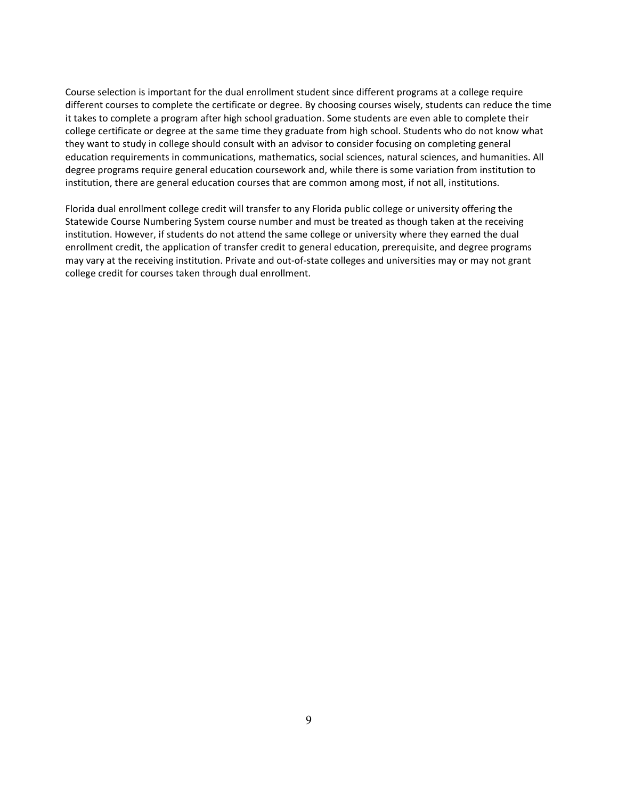Course selection is important for the dual enrollment student since different programs at a college require different courses to complete the certificate or degree. By choosing courses wisely, students can reduce the time it takes to complete a program after high school graduation. Some students are even able to complete their college certificate or degree at the same time they graduate from high school. Students who do not know what they want to study in college should consult with an advisor to consider focusing on completing general education requirements in communications, mathematics, social sciences, natural sciences, and humanities. All degree programs require general education coursework and, while there is some variation from institution to institution, there are general education courses that are common among most, if not all, institutions.

Florida dual enrollment college credit will transfer to any Florida public college or university offering the Statewide Course Numbering System course number and must be treated as though taken at the receiving institution. However, if students do not attend the same college or university where they earned the dual enrollment credit, the application of transfer credit to general education, prerequisite, and degree programs may vary at the receiving institution. Private and out-of-state colleges and universities may or may not grant college credit for courses taken through dual enrollment.